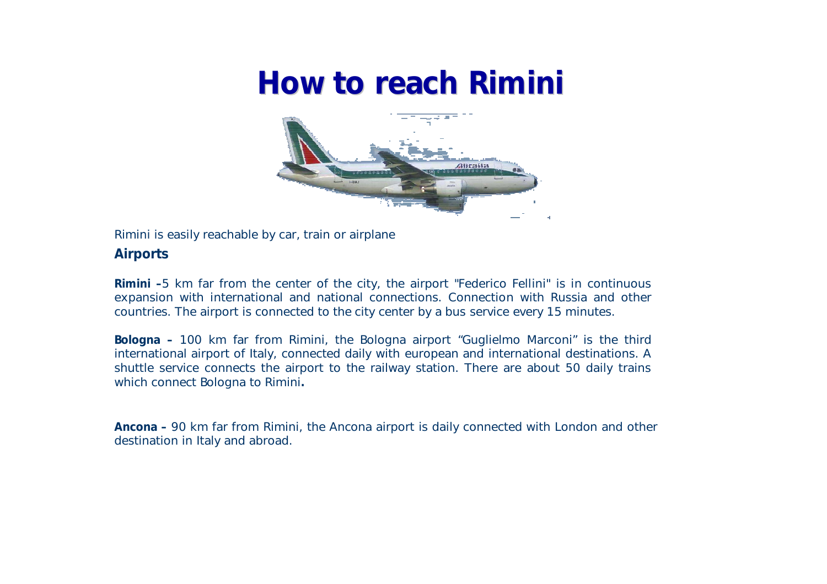# **How to reach Rimini**



Rimini is easily reachable by car, train or airplane

### **Airports**

**Rimini –**5 km far from the center of the city, the airport "Federico Fellini" is in continuous expansion with international and national connections. Connection with Russia and other countries. The airport is connected to the city center by a bus service every 15 minutes.

**Bologna –** 100 km far from Rimini, the Bologna airport "Guglielmo Marconi" is the third international airport of Italy, connected daily with european and international destinations. A shuttle service connects the airport to the railway station. There are about 50 daily trains which connect Bologna to Rimini**.**

**Ancona –** 90 km far from Rimini, the Ancona airport is daily connected with London and other destination in Italy and abroad.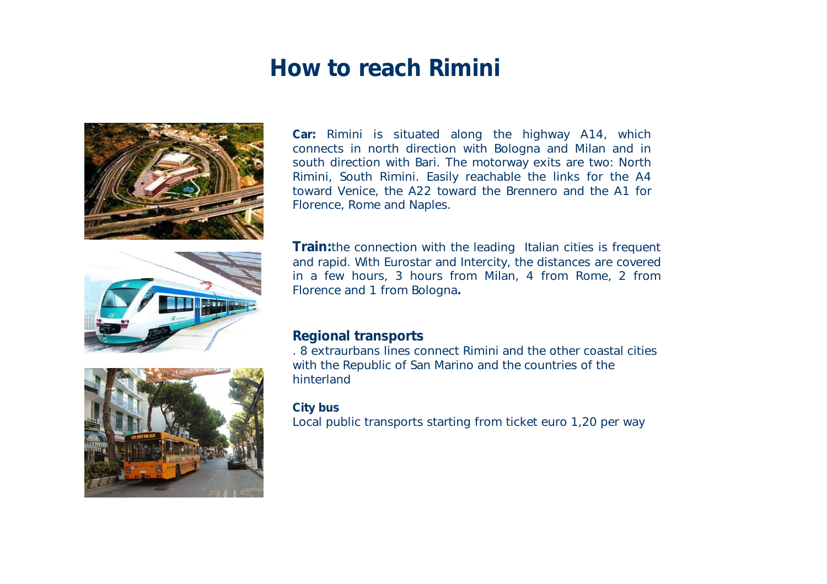## **How to reach Rimini**







**Car:** Rimini is situated along the highway A14, which connects in north direction with Bologna and Milan and in south direction with Bari. The motorway exits are two: North Rimini, South Rimini. Easily reachable the links for the A4 toward Venice, the A22 toward the Brennero and the A1 for Florence, Rome and Naples.

**Train:**the connection with the leading Italian cities is frequent and rapid. With Eurostar and Intercity, the distances are covered in a few hours, 3 hours from Milan, 4 from Rome, 2 from Florence and 1 from Bologna**.**

### **Regional transports**

. 8 extraurbans lines connect Rimini and the other coastal cities with the Republic of San Marino and the countries of the hinterland

#### **City bus**

Local public transports starting from ticket euro 1,20 per way